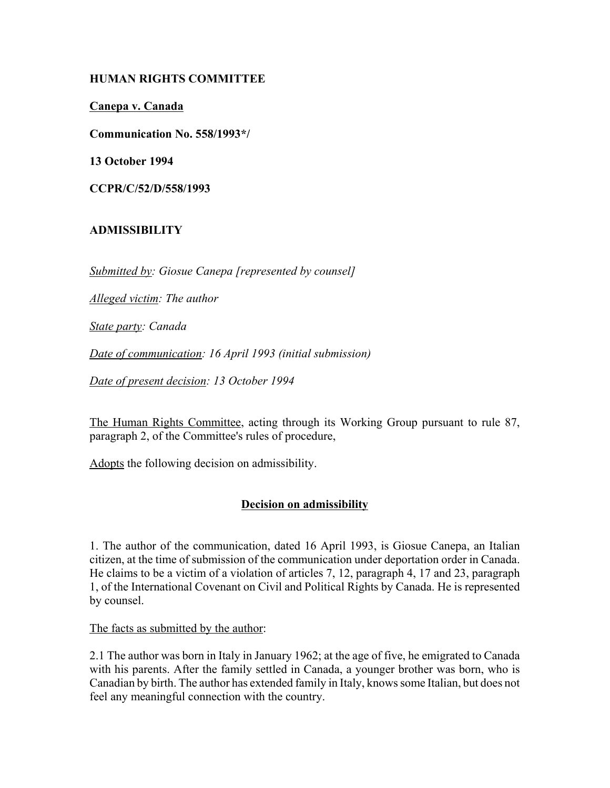### **HUMAN RIGHTS COMMITTEE**

### **Canepa v. Canada**

**Communication No. 558/1993\*/**

**13 October 1994**

**CCPR/C/52/D/558/1993**

# **ADMISSIBILITY**

*Submitted by: Giosue Canepa [represented by counsel]*

*Alleged victim: The author*

*State party: Canada*

*Date of communication: 16 April 1993 (initial submission)*

*Date of present decision: 13 October 1994*

The Human Rights Committee, acting through its Working Group pursuant to rule 87, paragraph 2, of the Committee's rules of procedure,

Adopts the following decision on admissibility.

# **Decision on admissibility**

1. The author of the communication, dated 16 April 1993, is Giosue Canepa, an Italian citizen, at the time of submission of the communication under deportation order in Canada. He claims to be a victim of a violation of articles 7, 12, paragraph 4, 17 and 23, paragraph 1, of the International Covenant on Civil and Political Rights by Canada. He is represented by counsel.

The facts as submitted by the author:

2.1 The author was born in Italy in January 1962; at the age of five, he emigrated to Canada with his parents. After the family settled in Canada, a younger brother was born, who is Canadian by birth. The author has extended family in Italy, knows some Italian, but does not feel any meaningful connection with the country.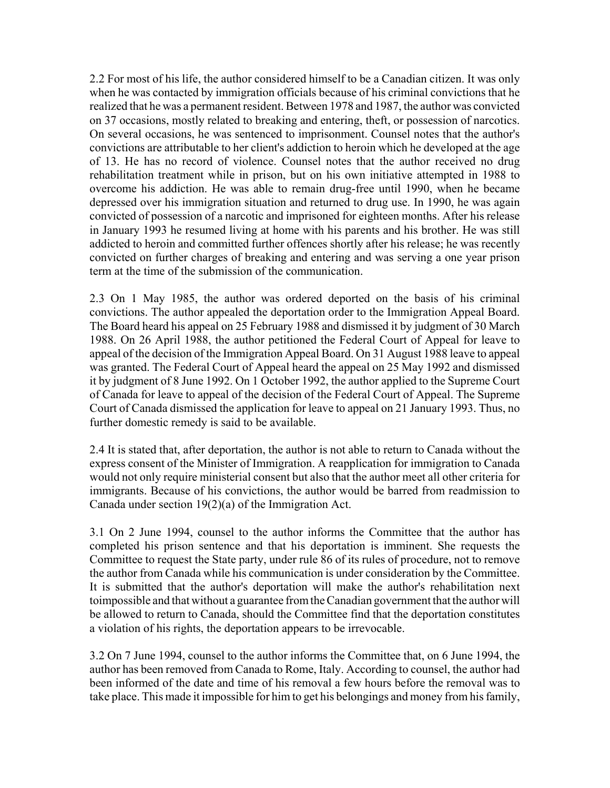2.2 For most of his life, the author considered himself to be a Canadian citizen. It was only when he was contacted by immigration officials because of his criminal convictions that he realized that he was a permanent resident. Between 1978 and 1987, the author was convicted on 37 occasions, mostly related to breaking and entering, theft, or possession of narcotics. On several occasions, he was sentenced to imprisonment. Counsel notes that the author's convictions are attributable to her client's addiction to heroin which he developed at the age of 13. He has no record of violence. Counsel notes that the author received no drug rehabilitation treatment while in prison, but on his own initiative attempted in 1988 to overcome his addiction. He was able to remain drug-free until 1990, when he became depressed over his immigration situation and returned to drug use. In 1990, he was again convicted of possession of a narcotic and imprisoned for eighteen months. After his release in January 1993 he resumed living at home with his parents and his brother. He was still addicted to heroin and committed further offences shortly after his release; he was recently convicted on further charges of breaking and entering and was serving a one year prison term at the time of the submission of the communication.

2.3 On 1 May 1985, the author was ordered deported on the basis of his criminal convictions. The author appealed the deportation order to the Immigration Appeal Board. The Board heard his appeal on 25 February 1988 and dismissed it by judgment of 30 March 1988. On 26 April 1988, the author petitioned the Federal Court of Appeal for leave to appeal of the decision of the Immigration Appeal Board. On 31 August 1988 leave to appeal was granted. The Federal Court of Appeal heard the appeal on 25 May 1992 and dismissed it by judgment of 8 June 1992. On 1 October 1992, the author applied to the Supreme Court of Canada for leave to appeal of the decision of the Federal Court of Appeal. The Supreme Court of Canada dismissed the application for leave to appeal on 21 January 1993. Thus, no further domestic remedy is said to be available.

2.4 It is stated that, after deportation, the author is not able to return to Canada without the express consent of the Minister of Immigration. A reapplication for immigration to Canada would not only require ministerial consent but also that the author meet all other criteria for immigrants. Because of his convictions, the author would be barred from readmission to Canada under section 19(2)(a) of the Immigration Act.

3.1 On 2 June 1994, counsel to the author informs the Committee that the author has completed his prison sentence and that his deportation is imminent. She requests the Committee to request the State party, under rule 86 of its rules of procedure, not to remove the author from Canada while his communication is under consideration by the Committee. It is submitted that the author's deportation will make the author's rehabilitation next toimpossible and that without a guarantee from the Canadian government that the author will be allowed to return to Canada, should the Committee find that the deportation constitutes a violation of his rights, the deportation appears to be irrevocable.

3.2 On 7 June 1994, counsel to the author informs the Committee that, on 6 June 1994, the author has been removed from Canada to Rome, Italy. According to counsel, the author had been informed of the date and time of his removal a few hours before the removal was to take place. This made it impossible for him to get his belongings and money from his family,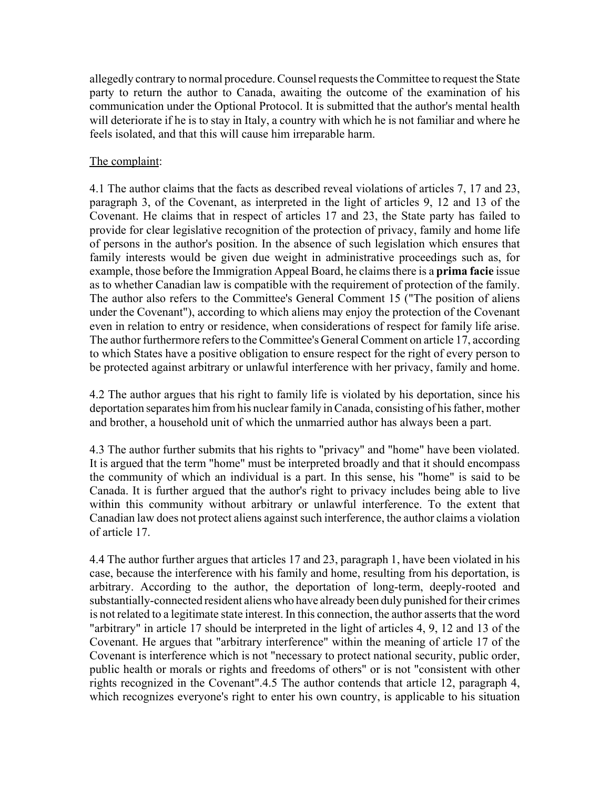allegedly contrary to normal procedure. Counsel requests the Committee to request the State party to return the author to Canada, awaiting the outcome of the examination of his communication under the Optional Protocol. It is submitted that the author's mental health will deteriorate if he is to stay in Italy, a country with which he is not familiar and where he feels isolated, and that this will cause him irreparable harm.

### The complaint:

4.1 The author claims that the facts as described reveal violations of articles 7, 17 and 23, paragraph 3, of the Covenant, as interpreted in the light of articles 9, 12 and 13 of the Covenant. He claims that in respect of articles 17 and 23, the State party has failed to provide for clear legislative recognition of the protection of privacy, family and home life of persons in the author's position. In the absence of such legislation which ensures that family interests would be given due weight in administrative proceedings such as, for example, those before the Immigration Appeal Board, he claims there is a **prima facie** issue as to whether Canadian law is compatible with the requirement of protection of the family. The author also refers to the Committee's General Comment 15 ("The position of aliens under the Covenant"), according to which aliens may enjoy the protection of the Covenant even in relation to entry or residence, when considerations of respect for family life arise. The author furthermore refers to the Committee's General Comment on article 17, according to which States have a positive obligation to ensure respect for the right of every person to be protected against arbitrary or unlawful interference with her privacy, family and home.

4.2 The author argues that his right to family life is violated by his deportation, since his deportation separates him from his nuclear family in Canada, consisting of his father, mother and brother, a household unit of which the unmarried author has always been a part.

4.3 The author further submits that his rights to "privacy" and "home" have been violated. It is argued that the term "home" must be interpreted broadly and that it should encompass the community of which an individual is a part. In this sense, his "home" is said to be Canada. It is further argued that the author's right to privacy includes being able to live within this community without arbitrary or unlawful interference. To the extent that Canadian law does not protect aliens against such interference, the author claims a violation of article 17.

4.4 The author further argues that articles 17 and 23, paragraph 1, have been violated in his case, because the interference with his family and home, resulting from his deportation, is arbitrary. According to the author, the deportation of long-term, deeply-rooted and substantially-connected resident aliens who have already been duly punished for their crimes is not related to a legitimate state interest. In this connection, the author asserts that the word "arbitrary" in article 17 should be interpreted in the light of articles 4, 9, 12 and 13 of the Covenant. He argues that "arbitrary interference" within the meaning of article 17 of the Covenant is interference which is not "necessary to protect national security, public order, public health or morals or rights and freedoms of others" or is not "consistent with other rights recognized in the Covenant".4.5 The author contends that article 12, paragraph 4, which recognizes everyone's right to enter his own country, is applicable to his situation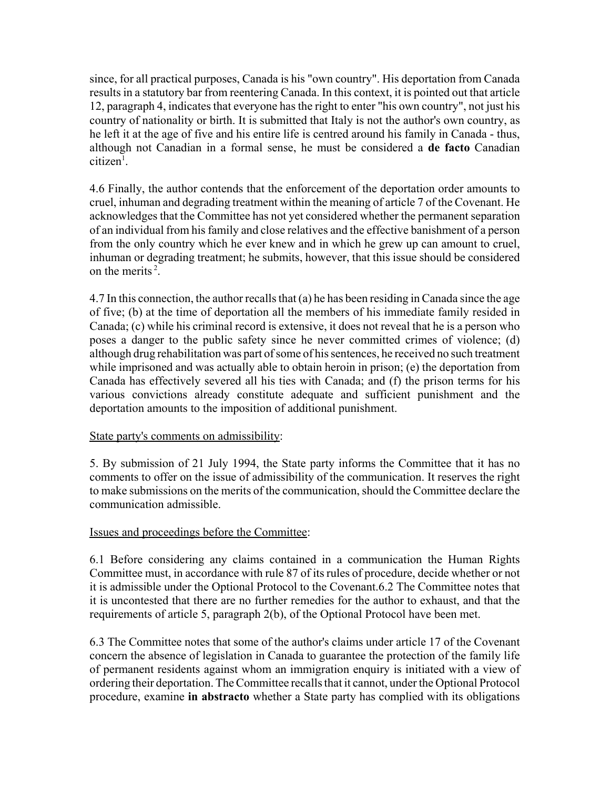since, for all practical purposes, Canada is his "own country". His deportation from Canada results in a statutory bar from reentering Canada. In this context, it is pointed out that article 12, paragraph 4, indicates that everyone has the right to enter "his own country", not just his country of nationality or birth. It is submitted that Italy is not the author's own country, as he left it at the age of five and his entire life is centred around his family in Canada - thus, although not Canadian in a formal sense, he must be considered a **de facto** Canadian citizen<sup>1</sup>.

4.6 Finally, the author contends that the enforcement of the deportation order amounts to cruel, inhuman and degrading treatment within the meaning of article 7 of the Covenant. He acknowledges that the Committee has not yet considered whether the permanent separation of an individual from his family and close relatives and the effective banishment of a person from the only country which he ever knew and in which he grew up can amount to cruel, inhuman or degrading treatment; he submits, however, that this issue should be considered on the merits  $2<sup>2</sup>$ .

4.7 In this connection, the author recalls that (a) he has been residing in Canada since the age of five; (b) at the time of deportation all the members of his immediate family resided in Canada; (c) while his criminal record is extensive, it does not reveal that he is a person who poses a danger to the public safety since he never committed crimes of violence; (d) although drug rehabilitation was part of some of his sentences, he received no such treatment while imprisoned and was actually able to obtain heroin in prison; (e) the deportation from Canada has effectively severed all his ties with Canada; and (f) the prison terms for his various convictions already constitute adequate and sufficient punishment and the deportation amounts to the imposition of additional punishment.

### State party's comments on admissibility:

5. By submission of 21 July 1994, the State party informs the Committee that it has no comments to offer on the issue of admissibility of the communication. It reserves the right to make submissions on the merits of the communication, should the Committee declare the communication admissible.

### Issues and proceedings before the Committee:

6.1 Before considering any claims contained in a communication the Human Rights Committee must, in accordance with rule 87 of its rules of procedure, decide whether or not it is admissible under the Optional Protocol to the Covenant.6.2 The Committee notes that it is uncontested that there are no further remedies for the author to exhaust, and that the requirements of article 5, paragraph 2(b), of the Optional Protocol have been met.

6.3 The Committee notes that some of the author's claims under article 17 of the Covenant concern the absence of legislation in Canada to guarantee the protection of the family life of permanent residents against whom an immigration enquiry is initiated with a view of ordering their deportation. The Committee recalls that it cannot, under the Optional Protocol procedure, examine **in abstracto** whether a State party has complied with its obligations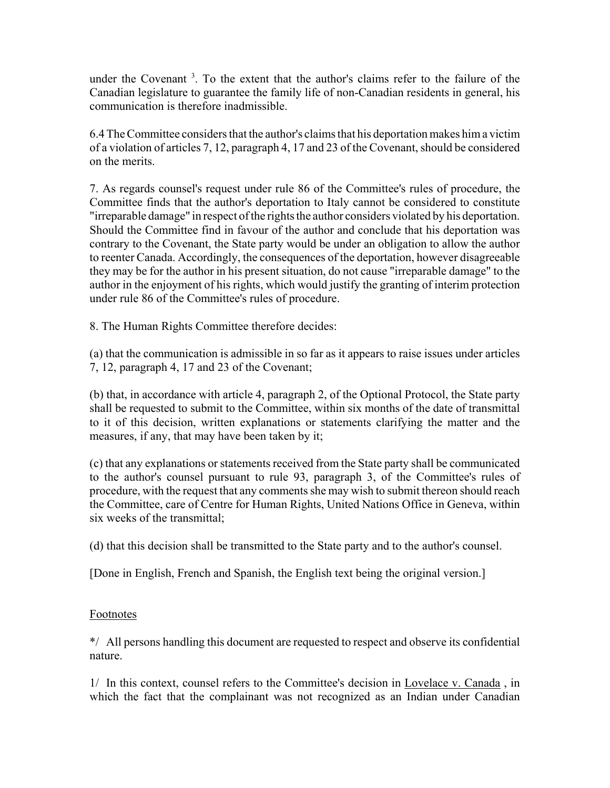under the Covenant<sup>3</sup>. To the extent that the author's claims refer to the failure of the Canadian legislature to guarantee the family life of non-Canadian residents in general, his communication is therefore inadmissible.

6.4 The Committee considers that the author's claims that his deportation makes him a victim of a violation of articles 7, 12, paragraph 4, 17 and 23 of the Covenant, should be considered on the merits.

7. As regards counsel's request under rule 86 of the Committee's rules of procedure, the Committee finds that the author's deportation to Italy cannot be considered to constitute "irreparable damage" in respect of the rights the author considers violated by his deportation. Should the Committee find in favour of the author and conclude that his deportation was contrary to the Covenant, the State party would be under an obligation to allow the author to reenter Canada. Accordingly, the consequences of the deportation, however disagreeable they may be for the author in his present situation, do not cause "irreparable damage" to the author in the enjoyment of his rights, which would justify the granting of interim protection under rule 86 of the Committee's rules of procedure.

8. The Human Rights Committee therefore decides:

(a) that the communication is admissible in so far as it appears to raise issues under articles 7, 12, paragraph 4, 17 and 23 of the Covenant;

(b) that, in accordance with article 4, paragraph 2, of the Optional Protocol, the State party shall be requested to submit to the Committee, within six months of the date of transmittal to it of this decision, written explanations or statements clarifying the matter and the measures, if any, that may have been taken by it;

(c) that any explanations or statements received from the State party shall be communicated to the author's counsel pursuant to rule 93, paragraph 3, of the Committee's rules of procedure, with the request that any comments she may wish to submit thereon should reach the Committee, care of Centre for Human Rights, United Nations Office in Geneva, within six weeks of the transmittal;

(d) that this decision shall be transmitted to the State party and to the author's counsel.

[Done in English, French and Spanish, the English text being the original version.]

### Footnotes

\*/ All persons handling this document are requested to respect and observe its confidential nature.

1/ In this context, counsel refers to the Committee's decision in Lovelace v. Canada , in which the fact that the complainant was not recognized as an Indian under Canadian